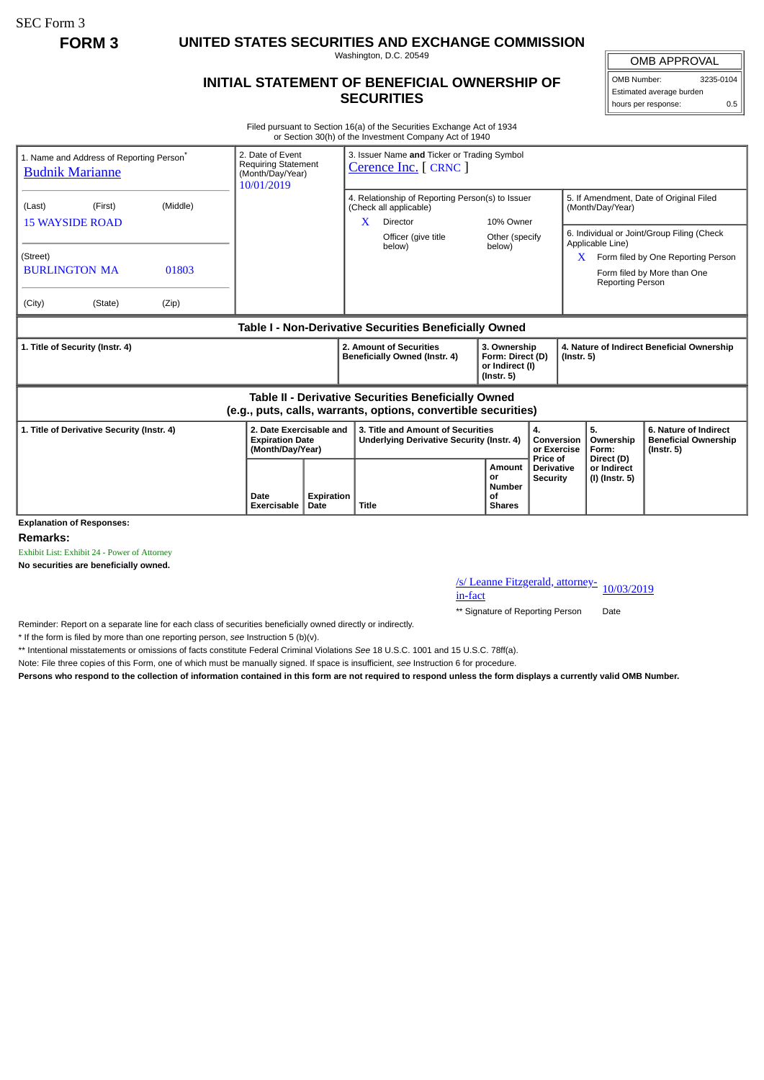SEC Form 3

**FORM 3 UNITED STATES SECURITIES AND EXCHANGE COMMISSION**

Washington, D.C. 20549

## **INITIAL STATEMENT OF BENEFICIAL OWNERSHIP OF SECURITIES**

OMB APPROVAL OMB Number: 3235-0104

Estimated average burden hours per response: 0.5

Filed pursuant to Section 16(a) of the Securities Exchange Act of 1934 or Section 30(h) of the Investment Company Act of 1940

| 1. Name and Address of Reporting Person <sup>®</sup><br><b>Budnik Marianne</b>                                        | 2. Date of Event<br><b>Requiring Statement</b><br>(Month/Day/Year)<br>10/01/2019 |                    | 3. Issuer Name and Ticker or Trading Symbol<br>Cerence Inc. [ CRNC ]                        |                                                                         |                                                  |                                                                |                                                                                                                 |  |
|-----------------------------------------------------------------------------------------------------------------------|----------------------------------------------------------------------------------|--------------------|---------------------------------------------------------------------------------------------|-------------------------------------------------------------------------|--------------------------------------------------|----------------------------------------------------------------|-----------------------------------------------------------------------------------------------------------------|--|
| (Middle)<br>(Last)<br>(First)<br><b>15 WAYSIDE ROAD</b>                                                               |                                                                                  |                    | 4. Relationship of Reporting Person(s) to Issuer<br>(Check all applicable)<br>Director<br>X | 10% Owner                                                               |                                                  | 5. If Amendment, Date of Original Filed<br>(Month/Day/Year)    |                                                                                                                 |  |
| (Street)<br><b>BURLINGTON MA</b><br>01803<br>(City)<br>(State)<br>(Zip)                                               |                                                                                  |                    | Officer (give title<br>below)                                                               | Other (specify<br>below)                                                |                                                  | Applicable Line)<br>X<br>Reporting Person                      | 6. Individual or Joint/Group Filing (Check<br>Form filed by One Reporting Person<br>Form filed by More than One |  |
|                                                                                                                       |                                                                                  |                    | Table I - Non-Derivative Securities Beneficially Owned                                      |                                                                         |                                                  |                                                                |                                                                                                                 |  |
| 1. Title of Security (Instr. 4)                                                                                       |                                                                                  |                    | 2. Amount of Securities<br>Beneficially Owned (Instr. 4)                                    | 3. Ownership<br>Form: Direct (D)<br>or Indirect (I)<br>$($ lnstr. 5 $)$ |                                                  | 4. Nature of Indirect Beneficial Ownership<br>$($ Instr. 5 $)$ |                                                                                                                 |  |
| Table II - Derivative Securities Beneficially Owned<br>(e.g., puts, calls, warrants, options, convertible securities) |                                                                                  |                    |                                                                                             |                                                                         |                                                  |                                                                |                                                                                                                 |  |
| 1. Title of Derivative Security (Instr. 4)                                                                            | 2. Date Exercisable and<br><b>Expiration Date</b><br>(Month/Day/Year)            |                    | 3. Title and Amount of Securities<br>Underlying Derivative Security (Instr. 4)              | 4.<br>Conversion<br>or Exercise                                         |                                                  | 5.<br>Ownership<br>Form:                                       | 6. Nature of Indirect<br><b>Beneficial Ownership</b><br>$($ lnstr. 5 $)$                                        |  |
| <b>Explanation of Responses:</b>                                                                                      | Date<br>Exercisable                                                              | Expiration<br>Date | <b>Title</b>                                                                                | Amount<br>or<br><b>Number</b><br>Οf<br><b>Shares</b>                    | Price of<br><b>Derivative</b><br><b>Security</b> | Direct (D)<br>or Indirect<br>(I) (Instr. 5)                    |                                                                                                                 |  |

**Remarks:**

Exhibit List: Exhibit 24 - Power of Attorney

**No securities are beneficially owned.**

/s/ Leanne Fitzgerald, attorney-<br>in-fact

\*\* Signature of Reporting Person Date

Reminder: Report on a separate line for each class of securities beneficially owned directly or indirectly.

\* If the form is filed by more than one reporting person, *see* Instruction 5 (b)(v).

\*\* Intentional misstatements or omissions of facts constitute Federal Criminal Violations *See* 18 U.S.C. 1001 and 15 U.S.C. 78ff(a).

Note: File three copies of this Form, one of which must be manually signed. If space is insufficient, *see* Instruction 6 for procedure.

**Persons who respond to the collection of information contained in this form are not required to respond unless the form displays a currently valid OMB Number.**